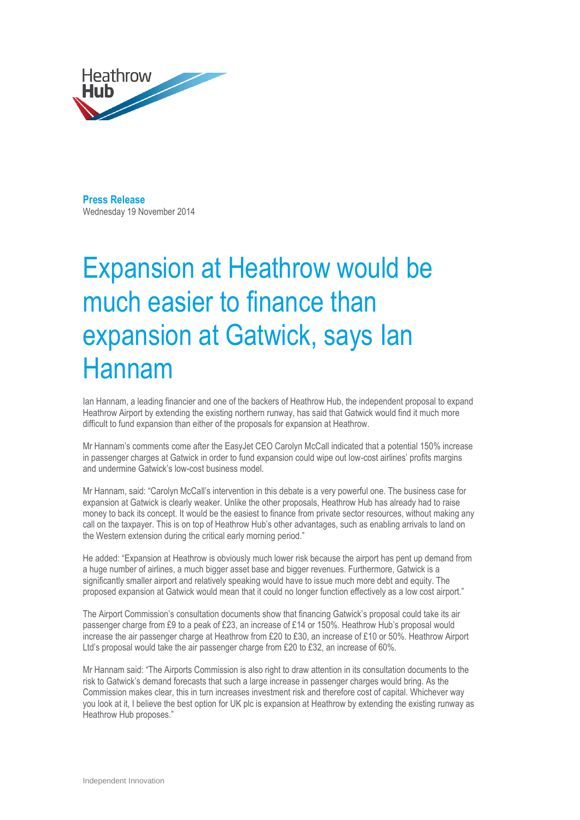

**Press Release**  Wednesday 19 November 2014

# Expansion at Heathrow would be much easier to finance than expansion at Gatwick, says Ian Hannam

Ian Hannam, a leading financier and one of the backers of Heathrow Hub, the independent proposal to expand Heathrow Airport by extending the existing northern runway, has said that Gatwick would find it much more difficult to fund expansion than either of the proposals for expansion at Heathrow.

Mr Hannam's comments come after the EasyJet CEO Carolyn McCall indicated that a potential 150% increase in passenger charges at Gatwick in order to fund expansion could wipe out low-cost airlines' profits margins and undermine Gatwick's low-cost business model.

Mr Hannam, said: "Carolyn McCall's intervention in this debate is a very powerful one. The business case for expansion at Gatwick is clearly weaker. Unlike the other proposals, Heathrow Hub has already had to raise money to back its concept. It would be the easiest to finance from private sector resources, without making any call on the taxpayer. This is on top of Heathrow Hub's other advantages, such as enabling arrivals to land on the Western extension during the critical early morning period."

He added: "Expansion at Heathrow is obviously much lower risk because the airport has pent up demand from a huge number of airlines, a much bigger asset base and bigger revenues. Furthermore, Gatwick is a significantly smaller airport and relatively speaking would have to issue much more debt and equity. The proposed expansion at Gatwick would mean that it could no longer function effectively as a low cost airport."

The Airport Commission's consultation documents show that financing Gatwick's proposal could take its air passenger charge from £9 to a peak of £23, an increase of £14 or 150%. Heathrow Hub's proposal would increase the air passenger charge at Heathrow from £20 to £30, an increase of £10 or 50%. Heathrow Airport Ltd's proposal would take the air passenger charge from £20 to £32, an increase of 60%.

Mr Hannam said: "The Airports Commission is also right to draw attention in its consultation documents to the risk to Gatwick's demand forecasts that such a large increase in passenger charges would bring. As the Commission makes clear, this in turn increases investment risk and therefore cost of capital. Whichever way you look at it, I believe the best option for UK plc is expansion at Heathrow by extending the existing runway as Heathrow Hub proposes."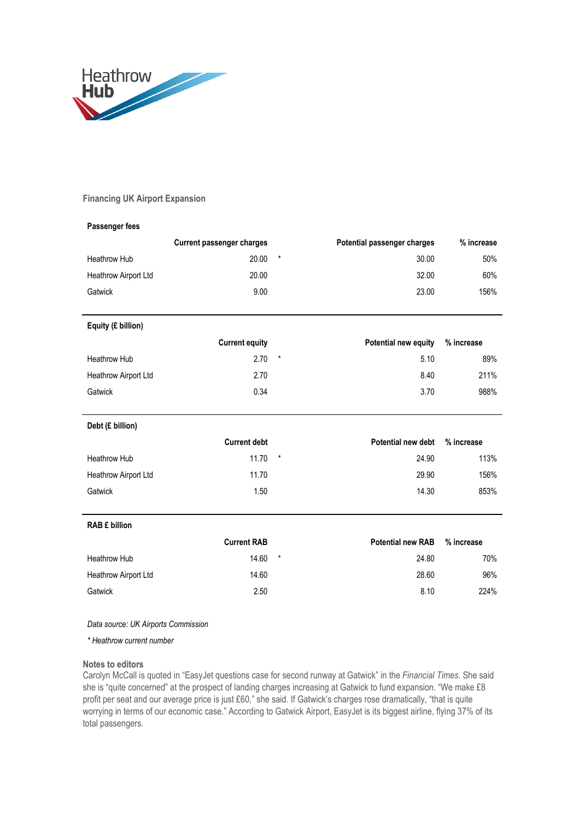

## **Financing UK Airport Expansion**

## **Passenger fees**

|                      | <b>Current passenger charges</b> |         | Potential passenger charges | % increase |
|----------------------|----------------------------------|---------|-----------------------------|------------|
| Heathrow Hub         | 20.00                            | $\star$ | 30.00                       | 50%        |
| Heathrow Airport Ltd | 20.00                            |         | 32.00                       | 60%        |
| Gatwick              | 9.00                             |         | 23.00                       | 156%       |

# **Equity (£ billion)**

|                      | <b>Current equity</b> | <b>Potential new equity</b> | % increase |
|----------------------|-----------------------|-----------------------------|------------|
| Heathrow Hub         | $2.70*$               | 5.10                        | 89%        |
| Heathrow Airport Ltd | 2.70                  | 8.40                        | 211%       |
| Gatwick              | 0.34                  | 3.70                        | 988%       |

# **Debt (£ billion)**

|                             | <b>Current debt</b> | <b>Potential new debt</b> | % increase |
|-----------------------------|---------------------|---------------------------|------------|
| Heathrow Hub                | $11.70$ *           | 24.90                     | 113%       |
| <b>Heathrow Airport Ltd</b> | 11.70               | 29.90                     | 156%       |
| Gatwick                     | 1.50                | 14.30                     | 853%       |

### **RAB £ billion**

|                             | <b>Current RAB</b> |         | <b>Potential new RAB</b> | % increase |
|-----------------------------|--------------------|---------|--------------------------|------------|
| Heathrow Hub                | 14.60              | $\star$ | 24.80                    | 70%        |
| <b>Heathrow Airport Ltd</b> | 14.60              |         | 28.60                    | 96%        |
| Gatwick                     | 2.50               |         | 8.10                     | 224%       |

## *Data source: UK Airports Commission*

*\* Heathrow current number*

### **Notes to editors**

Carolyn McCall is quoted in "EasyJet questions case for second runway at Gatwick" in the *Financial Times*. She said she is "quite concerned" at the prospect of landing charges increasing at Gatwick to fund expansion. "We make £8 profit per seat and our average price is just £60," she said. If Gatwick's charges rose dramatically, "that is quite worrying in terms of our economic case." According to Gatwick Airport, EasyJet is its biggest airline, flying 37% of its total passengers.